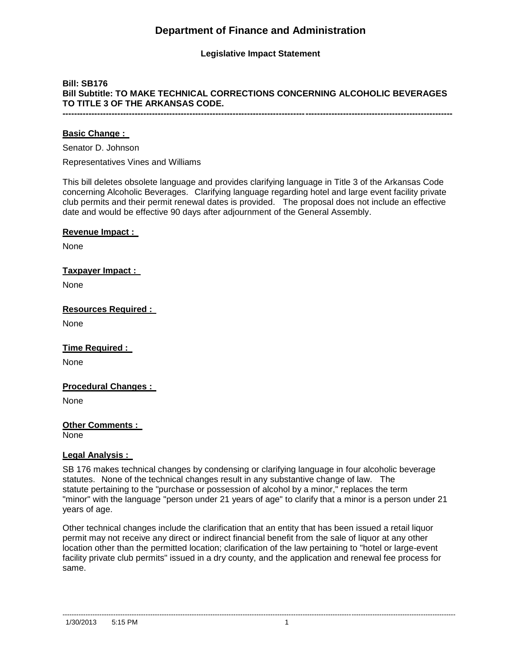# **Department of Finance and Administration**

## **Legislative Impact Statement**

## **Bill: SB176 Bill Subtitle: TO MAKE TECHNICAL CORRECTIONS CONCERNING ALCOHOLIC BEVERAGES TO TITLE 3 OF THE ARKANSAS CODE. ---------------------------------------------------------------------------------------------------------------------------------------**

**Basic Change :** 

Senator D. Johnson

Representatives Vines and Williams

This bill deletes obsolete language and provides clarifying language in Title 3 of the Arkansas Code concerning Alcoholic Beverages. Clarifying language regarding hotel and large event facility private club permits and their permit renewal dates is provided. The proposal does not include an effective date and would be effective 90 days after adjournment of the General Assembly.

**Revenue Impact :** 

None

#### **Taxpayer Impact :**

None

**Resources Required :** 

None

**Time Required :** 

None

#### **Procedural Changes :**

None

**Other Comments :** None

#### **Legal Analysis :**

SB 176 makes technical changes by condensing or clarifying language in four alcoholic beverage statutes. None of the technical changes result in any substantive change of law. The statute pertaining to the "purchase or possession of alcohol by a minor," replaces the term "minor" with the language "person under 21 years of age" to clarify that a minor is a person under 21 years of age.

Other technical changes include the clarification that an entity that has been issued a retail liquor permit may not receive any direct or indirect financial benefit from the sale of liquor at any other location other than the permitted location; clarification of the law pertaining to "hotel or large-event facility private club permits" issued in a dry county, and the application and renewal fee process for same.